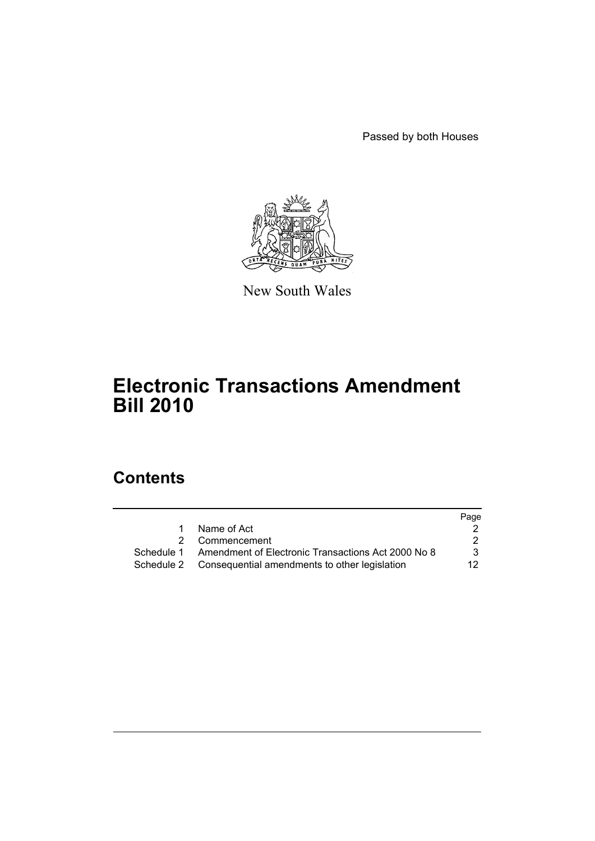Passed by both Houses



New South Wales

# **Electronic Transactions Amendment Bill 2010**

# **Contents**

|            |                                                          | Page |
|------------|----------------------------------------------------------|------|
| 1          | Name of Act                                              |      |
|            | 2 Commencement                                           | 2    |
| Schedule 1 | Amendment of Electronic Transactions Act 2000 No 8       | 3    |
|            | Schedule 2 Consequential amendments to other legislation | 12.  |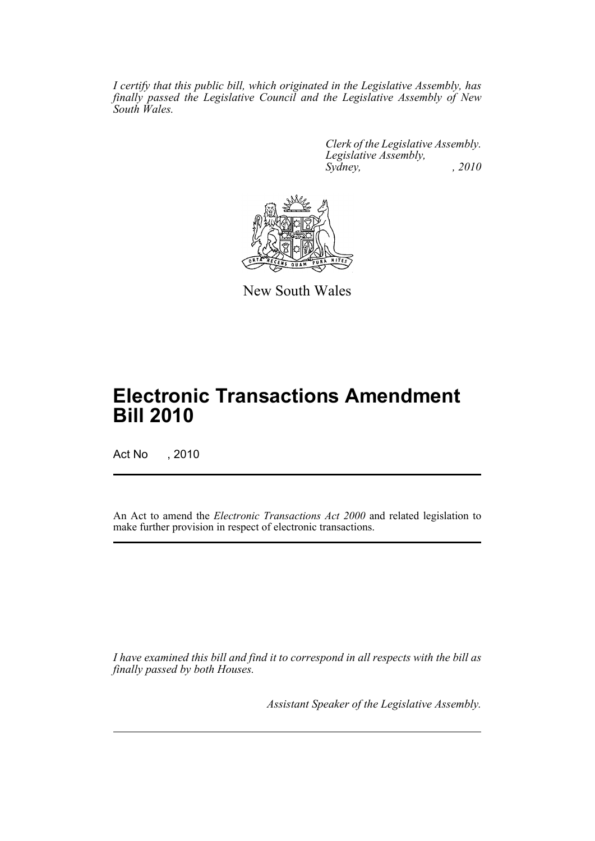*I certify that this public bill, which originated in the Legislative Assembly, has finally passed the Legislative Council and the Legislative Assembly of New South Wales.*

> *Clerk of the Legislative Assembly. Legislative Assembly, Sydney, , 2010*



New South Wales

# **Electronic Transactions Amendment Bill 2010**

Act No , 2010

An Act to amend the *Electronic Transactions Act 2000* and related legislation to make further provision in respect of electronic transactions.

*I have examined this bill and find it to correspond in all respects with the bill as finally passed by both Houses.*

*Assistant Speaker of the Legislative Assembly.*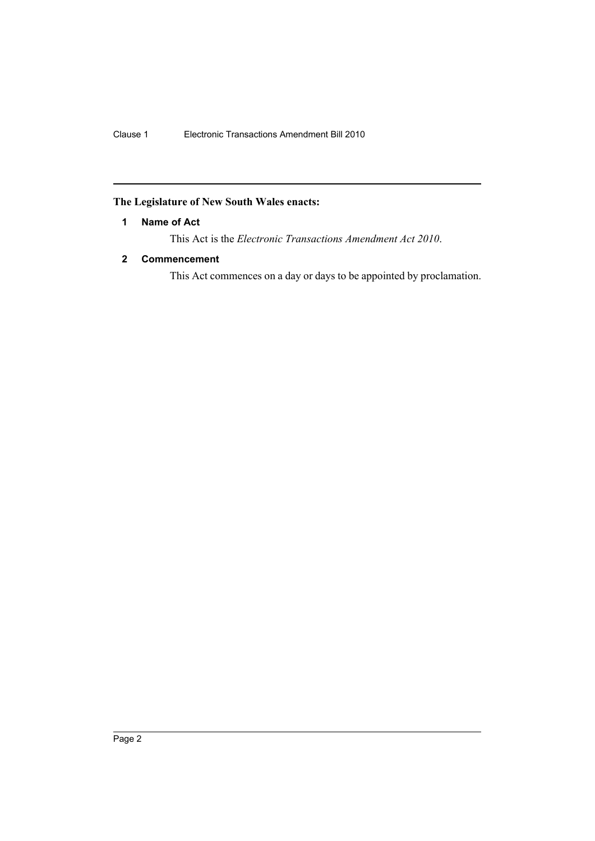# <span id="page-2-0"></span>**The Legislature of New South Wales enacts:**

## **1 Name of Act**

This Act is the *Electronic Transactions Amendment Act 2010*.

## <span id="page-2-1"></span>**2 Commencement**

This Act commences on a day or days to be appointed by proclamation.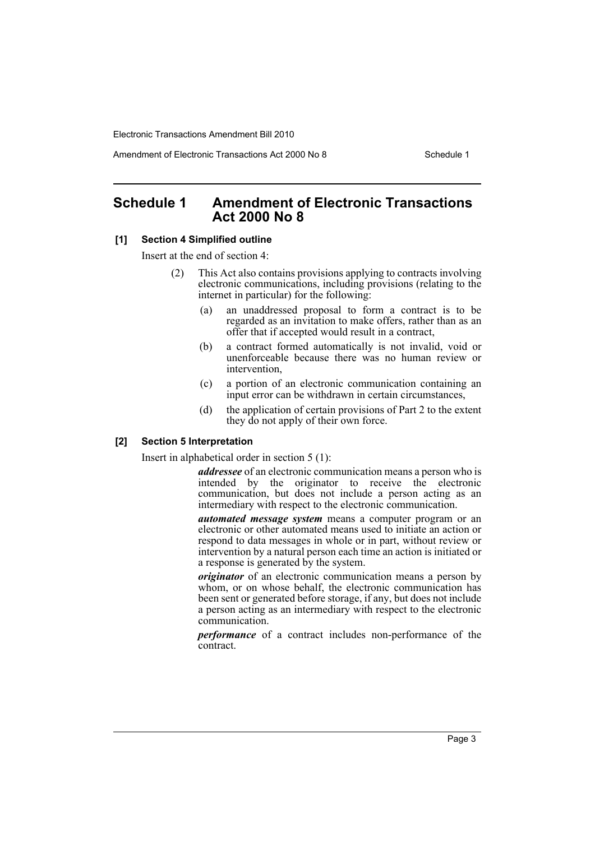Amendment of Electronic Transactions Act 2000 No 8 Schedule 1

# <span id="page-3-0"></span>**Schedule 1 Amendment of Electronic Transactions Act 2000 No 8**

#### **[1] Section 4 Simplified outline**

Insert at the end of section 4:

- (2) This Act also contains provisions applying to contracts involving electronic communications, including provisions (relating to the internet in particular) for the following:
	- (a) an unaddressed proposal to form a contract is to be regarded as an invitation to make offers, rather than as an offer that if accepted would result in a contract,
	- (b) a contract formed automatically is not invalid, void or unenforceable because there was no human review or intervention,
	- (c) a portion of an electronic communication containing an input error can be withdrawn in certain circumstances,
	- (d) the application of certain provisions of Part 2 to the extent they do not apply of their own force.

### **[2] Section 5 Interpretation**

Insert in alphabetical order in section 5 (1):

*addressee* of an electronic communication means a person who is intended by the originator to receive the electronic communication, but does not include a person acting as an intermediary with respect to the electronic communication.

*automated message system* means a computer program or an electronic or other automated means used to initiate an action or respond to data messages in whole or in part, without review or intervention by a natural person each time an action is initiated or a response is generated by the system.

*originator* of an electronic communication means a person by whom, or on whose behalf, the electronic communication has been sent or generated before storage, if any, but does not include a person acting as an intermediary with respect to the electronic communication.

*performance* of a contract includes non-performance of the contract.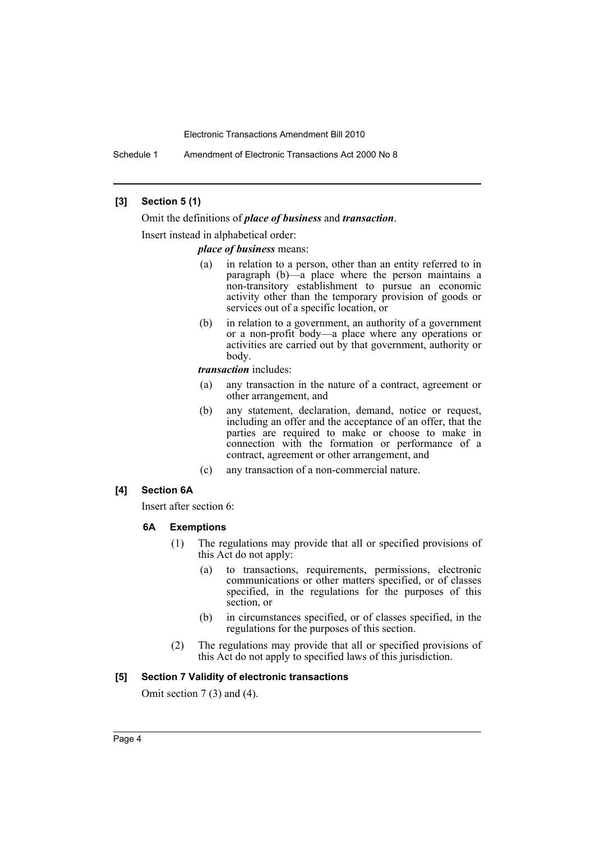Schedule 1 Amendment of Electronic Transactions Act 2000 No 8

## **[3] Section 5 (1)**

Omit the definitions of *place of business* and *transaction*.

Insert instead in alphabetical order:

*place of business* means:

- (a) in relation to a person, other than an entity referred to in paragraph (b)—a place where the person maintains a non-transitory establishment to pursue an economic activity other than the temporary provision of goods or services out of a specific location, or
- (b) in relation to a government, an authority of a government or a non-profit body—a place where any operations or activities are carried out by that government, authority or body.

*transaction* includes:

- (a) any transaction in the nature of a contract, agreement or other arrangement, and
- (b) any statement, declaration, demand, notice or request, including an offer and the acceptance of an offer, that the parties are required to make or choose to make in connection with the formation or performance of a contract, agreement or other arrangement, and
- (c) any transaction of a non-commercial nature.

## **[4] Section 6A**

Insert after section 6:

#### **6A Exemptions**

- (1) The regulations may provide that all or specified provisions of this Act do not apply:
	- (a) to transactions, requirements, permissions, electronic communications or other matters specified, or of classes specified, in the regulations for the purposes of this section, or
	- (b) in circumstances specified, or of classes specified, in the regulations for the purposes of this section.
- (2) The regulations may provide that all or specified provisions of this Act do not apply to specified laws of this jurisdiction.

### **[5] Section 7 Validity of electronic transactions**

Omit section 7 (3) and (4).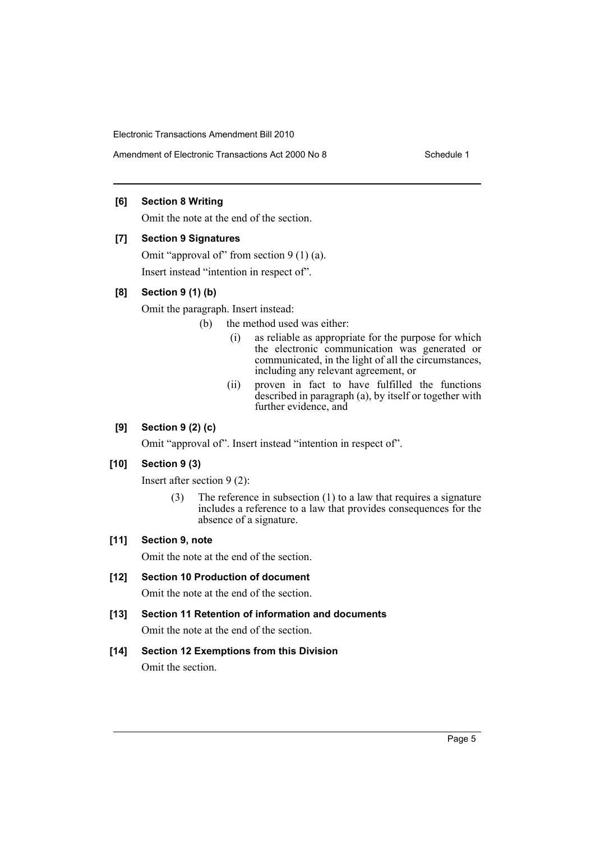Amendment of Electronic Transactions Act 2000 No 8 Schedule 1

## **[6] Section 8 Writing**

Omit the note at the end of the section.

## **[7] Section 9 Signatures**

Omit "approval of" from section 9 (1) (a). Insert instead "intention in respect of".

## **[8] Section 9 (1) (b)**

Omit the paragraph. Insert instead:

- (b) the method used was either:
	- (i) as reliable as appropriate for the purpose for which the electronic communication was generated or communicated, in the light of all the circumstances, including any relevant agreement, or
	- (ii) proven in fact to have fulfilled the functions described in paragraph (a), by itself or together with further evidence, and

## **[9] Section 9 (2) (c)**

Omit "approval of". Insert instead "intention in respect of".

## **[10] Section 9 (3)**

Insert after section 9 (2):

(3) The reference in subsection (1) to a law that requires a signature includes a reference to a law that provides consequences for the absence of a signature.

### **[11] Section 9, note**

Omit the note at the end of the section.

**[12] Section 10 Production of document**

Omit the note at the end of the section.

**[13] Section 11 Retention of information and documents**

Omit the note at the end of the section.

## **[14] Section 12 Exemptions from this Division**

Omit the section.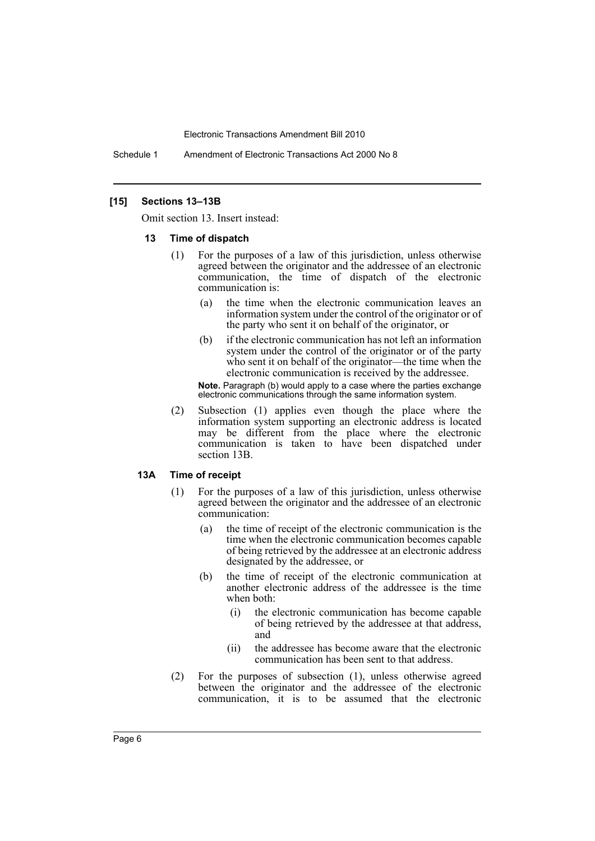Schedule 1 Amendment of Electronic Transactions Act 2000 No 8

#### **[15] Sections 13–13B**

Omit section 13. Insert instead:

#### **13 Time of dispatch**

- (1) For the purposes of a law of this jurisdiction, unless otherwise agreed between the originator and the addressee of an electronic communication, the time of dispatch of the electronic communication is:
	- (a) the time when the electronic communication leaves an information system under the control of the originator or of the party who sent it on behalf of the originator, or
	- (b) if the electronic communication has not left an information system under the control of the originator or of the party who sent it on behalf of the originator—the time when the electronic communication is received by the addressee.

**Note.** Paragraph (b) would apply to a case where the parties exchange electronic communications through the same information system.

(2) Subsection (1) applies even though the place where the information system supporting an electronic address is located may be different from the place where the electronic communication is taken to have been dispatched under section 13B.

## **13A Time of receipt**

- (1) For the purposes of a law of this jurisdiction, unless otherwise agreed between the originator and the addressee of an electronic communication:
	- (a) the time of receipt of the electronic communication is the time when the electronic communication becomes capable of being retrieved by the addressee at an electronic address designated by the addressee, or
	- (b) the time of receipt of the electronic communication at another electronic address of the addressee is the time when both:
		- (i) the electronic communication has become capable of being retrieved by the addressee at that address, and
		- (ii) the addressee has become aware that the electronic communication has been sent to that address.
- (2) For the purposes of subsection (1), unless otherwise agreed between the originator and the addressee of the electronic communication, it is to be assumed that the electronic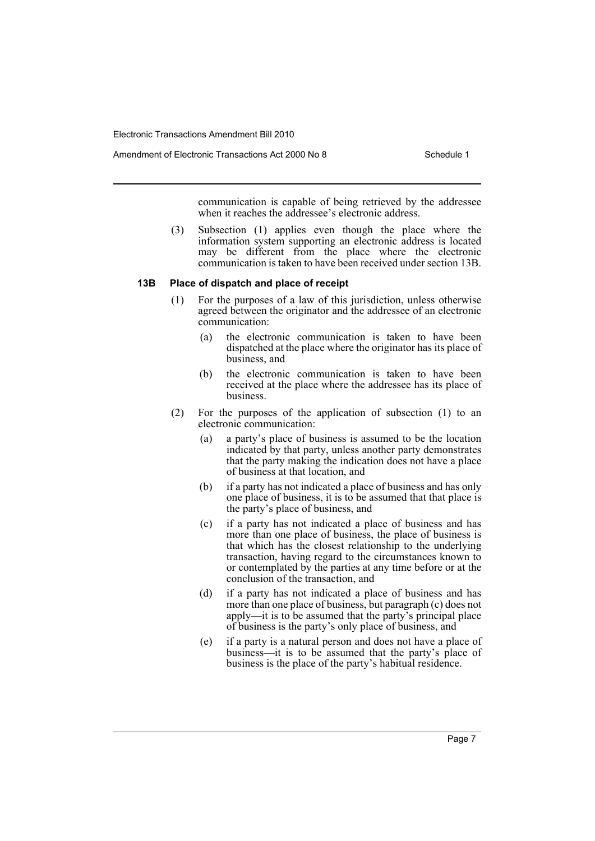Amendment of Electronic Transactions Act 2000 No 8 Schedule 1

communication is capable of being retrieved by the addressee when it reaches the addressee's electronic address.

(3) Subsection (1) applies even though the place where the information system supporting an electronic address is located may be different from the place where the electronic communication is taken to have been received under section 13B.

## **13B Place of dispatch and place of receipt**

- (1) For the purposes of a law of this jurisdiction, unless otherwise agreed between the originator and the addressee of an electronic communication:
	- (a) the electronic communication is taken to have been dispatched at the place where the originator has its place of business, and
	- (b) the electronic communication is taken to have been received at the place where the addressee has its place of business.
- (2) For the purposes of the application of subsection (1) to an electronic communication:
	- (a) a party's place of business is assumed to be the location indicated by that party, unless another party demonstrates that the party making the indication does not have a place of business at that location, and
	- (b) if a party has not indicated a place of business and has only one place of business, it is to be assumed that that place is the party's place of business, and
	- (c) if a party has not indicated a place of business and has more than one place of business, the place of business is that which has the closest relationship to the underlying transaction, having regard to the circumstances known to or contemplated by the parties at any time before or at the conclusion of the transaction, and
	- (d) if a party has not indicated a place of business and has more than one place of business, but paragraph (c) does not apply—it is to be assumed that the party's principal place of business is the party's only place of business, and
	- (e) if a party is a natural person and does not have a place of business—it is to be assumed that the party's place of business is the place of the party's habitual residence.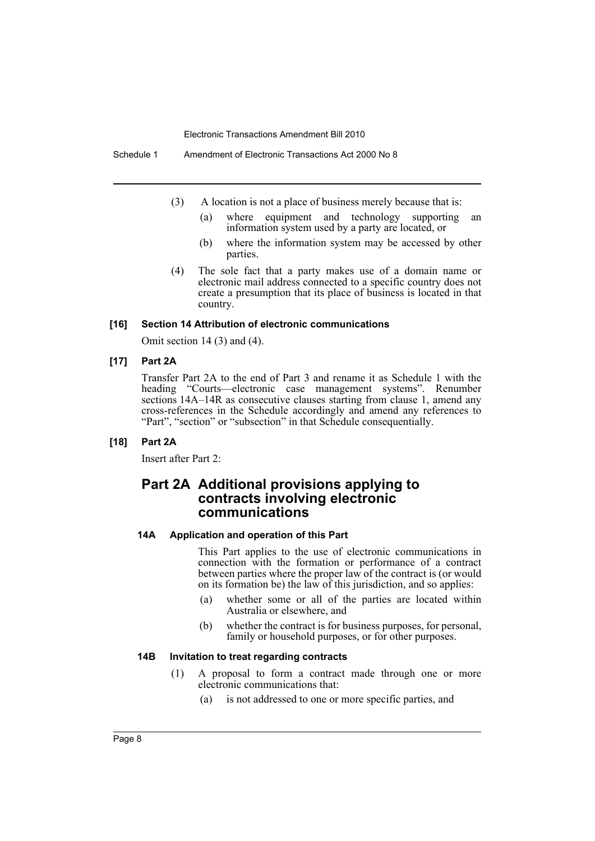- (3) A location is not a place of business merely because that is:
	- (a) where equipment and technology supporting an information system used by a party are located, or
	- (b) where the information system may be accessed by other parties.
- (4) The sole fact that a party makes use of a domain name or electronic mail address connected to a specific country does not create a presumption that its place of business is located in that country.

#### **[16] Section 14 Attribution of electronic communications**

Omit section 14 (3) and (4).

#### **[17] Part 2A**

Transfer Part 2A to the end of Part 3 and rename it as Schedule 1 with the heading "Courts—electronic case management systems". Renumber sections 14A–14R as consecutive clauses starting from clause 1, amend any cross-references in the Schedule accordingly and amend any references to "Part", "section" or "subsection" in that Schedule consequentially.

## **[18] Part 2A**

Insert after Part 2:

# **Part 2A Additional provisions applying to contracts involving electronic communications**

### **14A Application and operation of this Part**

This Part applies to the use of electronic communications in connection with the formation or performance of a contract between parties where the proper law of the contract is (or would on its formation be) the law of this jurisdiction, and so applies:

- (a) whether some or all of the parties are located within Australia or elsewhere, and
- (b) whether the contract is for business purposes, for personal, family or household purposes, or for other purposes.

#### **14B Invitation to treat regarding contracts**

- (1) A proposal to form a contract made through one or more electronic communications that:
	- (a) is not addressed to one or more specific parties, and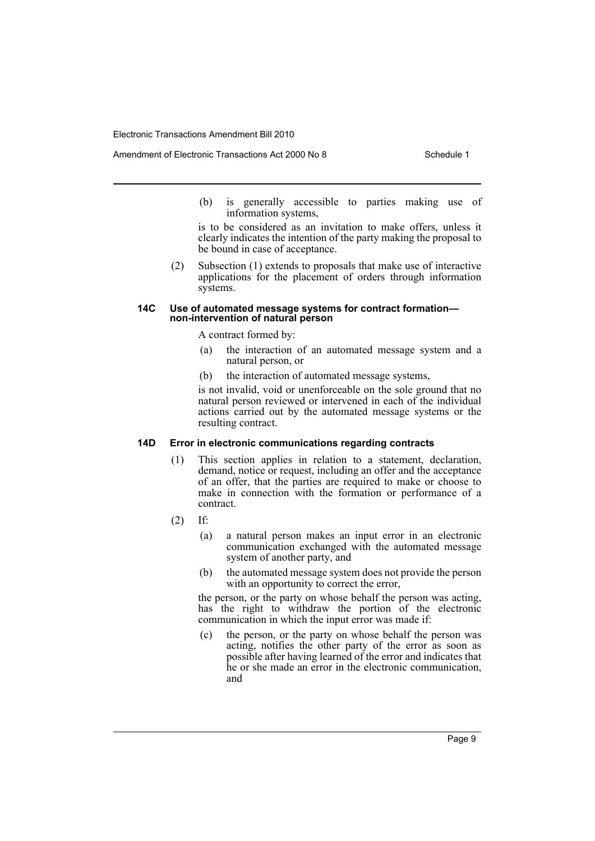(b) is generally accessible to parties making use of information systems,

is to be considered as an invitation to make offers, unless it clearly indicates the intention of the party making the proposal to be bound in case of acceptance.

(2) Subsection (1) extends to proposals that make use of interactive applications for the placement of orders through information systems.

#### **14C Use of automated message systems for contract formation non-intervention of natural person**

A contract formed by:

- (a) the interaction of an automated message system and a natural person, or
- (b) the interaction of automated message systems,

is not invalid, void or unenforceable on the sole ground that no natural person reviewed or intervened in each of the individual actions carried out by the automated message systems or the resulting contract.

#### **14D Error in electronic communications regarding contracts**

- (1) This section applies in relation to a statement, declaration, demand, notice or request, including an offer and the acceptance of an offer, that the parties are required to make or choose to make in connection with the formation or performance of a contract.
- (2) If:
	- (a) a natural person makes an input error in an electronic communication exchanged with the automated message system of another party, and
	- (b) the automated message system does not provide the person with an opportunity to correct the error,

the person, or the party on whose behalf the person was acting, has the right to withdraw the portion of the electronic communication in which the input error was made if:

(c) the person, or the party on whose behalf the person was acting, notifies the other party of the error as soon as possible after having learned of the error and indicates that he or she made an error in the electronic communication, and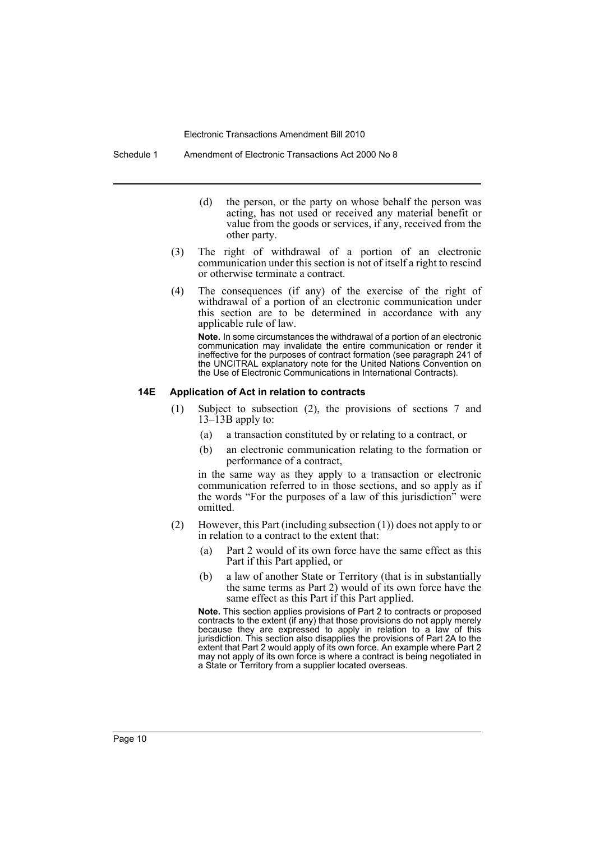Schedule 1 Amendment of Electronic Transactions Act 2000 No 8

- (d) the person, or the party on whose behalf the person was acting, has not used or received any material benefit or value from the goods or services, if any, received from the other party.
- (3) The right of withdrawal of a portion of an electronic communication under this section is not of itself a right to rescind or otherwise terminate a contract.
- (4) The consequences (if any) of the exercise of the right of withdrawal of a portion of an electronic communication under this section are to be determined in accordance with any applicable rule of law.

**Note.** In some circumstances the withdrawal of a portion of an electronic communication may invalidate the entire communication or render it ineffective for the purposes of contract formation (see paragraph 241 of the UNCITRAL explanatory note for the United Nations Convention on the Use of Electronic Communications in International Contracts).

#### **14E Application of Act in relation to contracts**

- (1) Subject to subsection (2), the provisions of sections 7 and 13–13B apply to:
	- (a) a transaction constituted by or relating to a contract, or
	- (b) an electronic communication relating to the formation or performance of a contract,

in the same way as they apply to a transaction or electronic communication referred to in those sections, and so apply as if the words "For the purposes of a law of this jurisdiction" were omitted.

- (2) However, this Part (including subsection (1)) does not apply to or in relation to a contract to the extent that:
	- (a) Part 2 would of its own force have the same effect as this Part if this Part applied, or
	- (b) a law of another State or Territory (that is in substantially the same terms as Part 2) would of its own force have the same effect as this Part if this Part applied.

**Note.** This section applies provisions of Part 2 to contracts or proposed contracts to the extent (if any) that those provisions do not apply merely because they are expressed to apply in relation to a law of this jurisdiction. This section also disapplies the provisions of Part 2A to the extent that Part 2 would apply of its own force. An example where Part 2 may not apply of its own force is where a contract is being negotiated in a State or Territory from a supplier located overseas.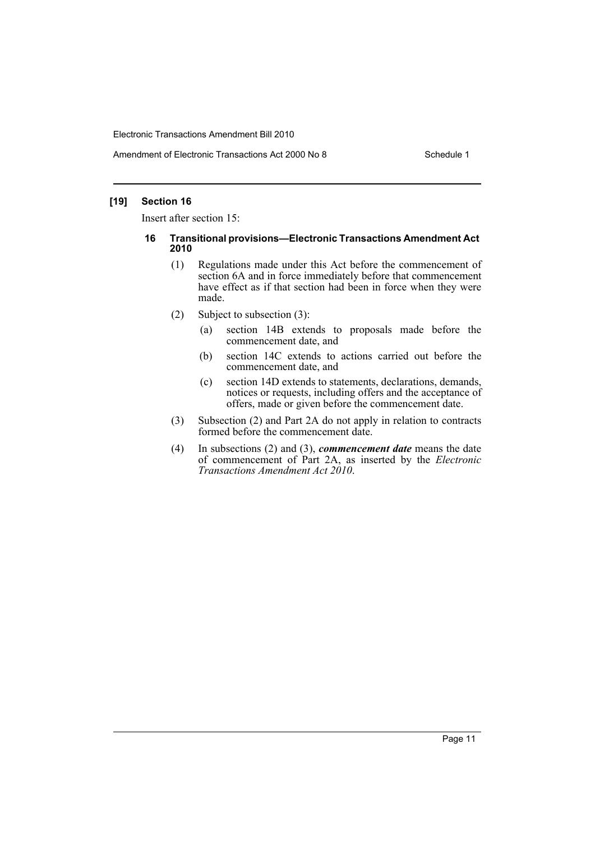#### **[19] Section 16**

Insert after section 15:

#### **16 Transitional provisions—Electronic Transactions Amendment Act 2010**

- (1) Regulations made under this Act before the commencement of section 6A and in force immediately before that commencement have effect as if that section had been in force when they were made.
- (2) Subject to subsection (3):
	- (a) section 14B extends to proposals made before the commencement date, and
	- (b) section 14C extends to actions carried out before the commencement date, and
	- (c) section 14D extends to statements, declarations, demands, notices or requests, including offers and the acceptance of offers, made or given before the commencement date.
- (3) Subsection (2) and Part 2A do not apply in relation to contracts formed before the commencement date.
- (4) In subsections (2) and (3), *commencement date* means the date of commencement of Part 2A, as inserted by the *Electronic Transactions Amendment Act 2010*.